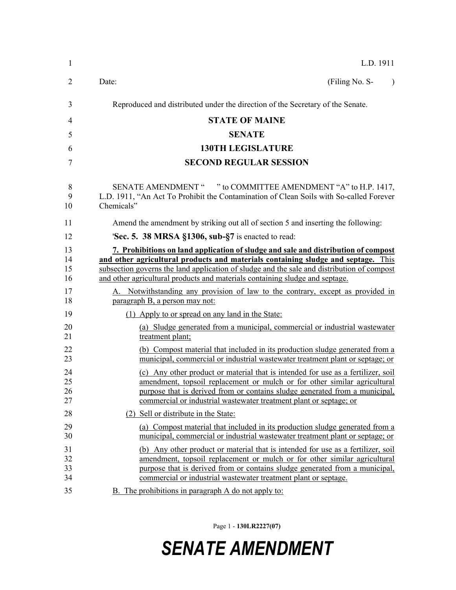| $\mathbf{1}$               | L.D. 1911                                                                                                                                                                                                                                                                                                                                                                                                                               |
|----------------------------|-----------------------------------------------------------------------------------------------------------------------------------------------------------------------------------------------------------------------------------------------------------------------------------------------------------------------------------------------------------------------------------------------------------------------------------------|
| 2                          | (Filing No. S-<br>Date:<br>$\lambda$                                                                                                                                                                                                                                                                                                                                                                                                    |
| 3                          | Reproduced and distributed under the direction of the Secretary of the Senate.                                                                                                                                                                                                                                                                                                                                                          |
| 4                          | <b>STATE OF MAINE</b>                                                                                                                                                                                                                                                                                                                                                                                                                   |
| 5                          | <b>SENATE</b>                                                                                                                                                                                                                                                                                                                                                                                                                           |
| 6                          | <b>130TH LEGISLATURE</b>                                                                                                                                                                                                                                                                                                                                                                                                                |
| 7                          | <b>SECOND REGULAR SESSION</b>                                                                                                                                                                                                                                                                                                                                                                                                           |
| 8<br>9<br>10               | SENATE AMENDMENT " " to COMMITTEE AMENDMENT "A" to H.P. 1417,<br>L.D. 1911, "An Act To Prohibit the Contamination of Clean Soils with So-called Forever<br>Chemicals"                                                                                                                                                                                                                                                                   |
| 11                         | Amend the amendment by striking out all of section 5 and inserting the following:                                                                                                                                                                                                                                                                                                                                                       |
| 12                         | 'Sec. 5. 38 MRSA §1306, sub-§7 is enacted to read:                                                                                                                                                                                                                                                                                                                                                                                      |
| 13<br>14<br>15<br>16<br>17 | 7. Prohibitions on land application of sludge and sale and distribution of compost<br>and other agricultural products and materials containing sludge and septage. This<br>subsection governs the land application of sludge and the sale and distribution of compost<br>and other agricultural products and materials containing sludge and septage.<br>A. Notwithstanding any provision of law to the contrary, except as provided in |
| 18                         | paragraph B, a person may not:                                                                                                                                                                                                                                                                                                                                                                                                          |
| 19                         | (1) Apply to or spread on any land in the State:                                                                                                                                                                                                                                                                                                                                                                                        |
| 20<br>21                   | (a) Sludge generated from a municipal, commercial or industrial wastewater<br>treatment plant;                                                                                                                                                                                                                                                                                                                                          |
| 22<br>23                   | (b) Compost material that included in its production sludge generated from a<br>municipal, commercial or industrial wastewater treatment plant or septage; or                                                                                                                                                                                                                                                                           |
| 24<br>25<br>26<br>27       | (c) Any other product or material that is intended for use as a fertilizer, soil<br>amendment, topsoil replacement or mulch or for other similar agricultural<br>purpose that is derived from or contains sludge generated from a municipal,<br>commercial or industrial wastewater treatment plant or septage; or                                                                                                                      |
| 28                         | (2) Sell or distribute in the State:                                                                                                                                                                                                                                                                                                                                                                                                    |
| 29<br>30                   | (a) Compost material that included in its production sludge generated from a<br>municipal, commercial or industrial wastewater treatment plant or septage; or                                                                                                                                                                                                                                                                           |
| 31<br>32<br>33<br>34       | (b) Any other product or material that is intended for use as a fertilizer, soil<br>amendment, topsoil replacement or mulch or for other similar agricultural<br>purpose that is derived from or contains sludge generated from a municipal,<br>commercial or industrial wastewater treatment plant or septage.                                                                                                                         |
| 35                         | B. The prohibitions in paragraph A do not apply to:                                                                                                                                                                                                                                                                                                                                                                                     |

Page 1 - **130LR2227(07)**

## *SENATE AMENDMENT*